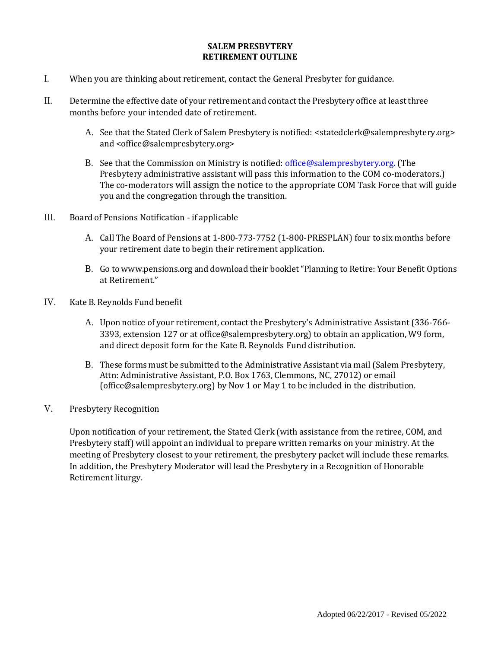## **SALEM PRESBYTERY RETIREMENT OUTLINE**

- I. When you are thinking about retirement, contact the General Presbyter for guidance.
- II. Determine the effective date of your retirement and contact the Presbytery office at least three months before your intended date of retirement.
	- A. See that the Stated Clerk of Salem Presbytery is notified: [<statedclerk@salempresbytery.org>](mailto:statedclerk@salempresbytery.org) and [<office@salempresbytery.org>](mailto:office@salempresbytery.org)
	- B. See that the Commission on Ministry is notified: [office@salempresbytery.org.](mailto:office@salempresbytery.org) (The Presbytery administrative assistant will pass this information to the COM co-moderators.) The co-moderators will assign the notice to the appropriate COM Task Force that will guide you and the congregation through the transition.
- III. Board of Pensions Notification if applicable
	- A. Call The Board of Pensions at 1-800-773-7752 (1-800-PRESPLAN) four to six months before your retirement date to begin their retirement application.
	- B. Go to [www.pensions.org](http://www.pensions.org/) and download their booklet"Planning to Retire: Your Benefit Options at Retirement."
- IV. Kate B. Reynolds Fund benefit
	- A. Upon notice of your retirement, contact the Presbytery's Administrative Assistant(336-766- 3393, extension 127 or at [office@salempresbytery.org\) t](mailto:office@salempresbytery.org)o obtain an application, W9 form, and direct deposit form for the Kate B. Reynolds Fund distribution.
	- B. These forms must be submitted to the Administrative Assistant via mail (Salem Presbytery, Attn: Administrative Assistant, P.O. Box 1763, Clemmons, NC, 27012) or email (office@salempresbytery.org) by Nov 1 or May 1 to be included in the distribution.
- V. Presbytery Recognition

Upon notification of your retirement, the Stated Clerk (with assistance from the retiree, COM, and Presbytery staff) will appoint an individual to prepare written remarks on your ministry. At the meeting of Presbytery closest to your retirement, the presbytery packet will include these remarks. In addition, the Presbytery Moderator will lead the Presbytery in a Recognition of Honorable Retirement liturgy.